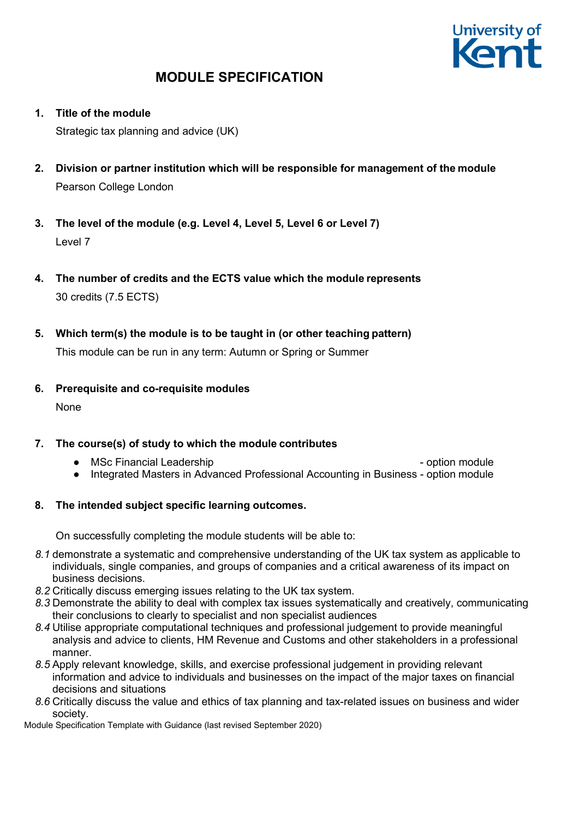

**1. Title of the module**

Strategic tax planning and advice (UK)

- **2. Division or partner institution which will be responsible for management of the module** Pearson College London
- **3. The level of the module (e.g. Level 4, Level 5, Level 6 or Level 7)** Level 7
- **4. The number of credits and the ECTS value which the module represents** 30 credits (7.5 ECTS)
- **5. Which term(s) the module is to be taught in (or other teaching pattern)**

This module can be run in any term: Autumn or Spring or Summer

**6. Prerequisite and co-requisite modules**

None

## **7. The course(s) of study to which the module contributes**

- MSc Financial Leadership  $\bullet$  MSc Financial Leadership
- Integrated Masters in Advanced Professional Accounting in Business option module

## **8. The intended subject specific learning outcomes.**

On successfully completing the module students will be able to:

- *8.1* demonstrate a systematic and comprehensive understanding of the UK tax system as applicable to individuals, single companies, and groups of companies and a critical awareness of its impact on business decisions.
- *8.2* Critically discuss emerging issues relating to the UK tax system.
- *8.3* Demonstrate the ability to deal with complex tax issues systematically and creatively, communicating their conclusions to clearly to specialist and non specialist audiences
- *8.4* Utilise appropriate computational techniques and professional judgement to provide meaningful analysis and advice to clients, HM Revenue and Customs and other stakeholders in a professional manner.
- *8.5* Apply relevant knowledge, skills, and exercise professional judgement in providing relevant information and advice to individuals and businesses on the impact of the major taxes on financial decisions and situations
- *8.6* Critically discuss the value and ethics of tax planning and tax-related issues on business and wider society.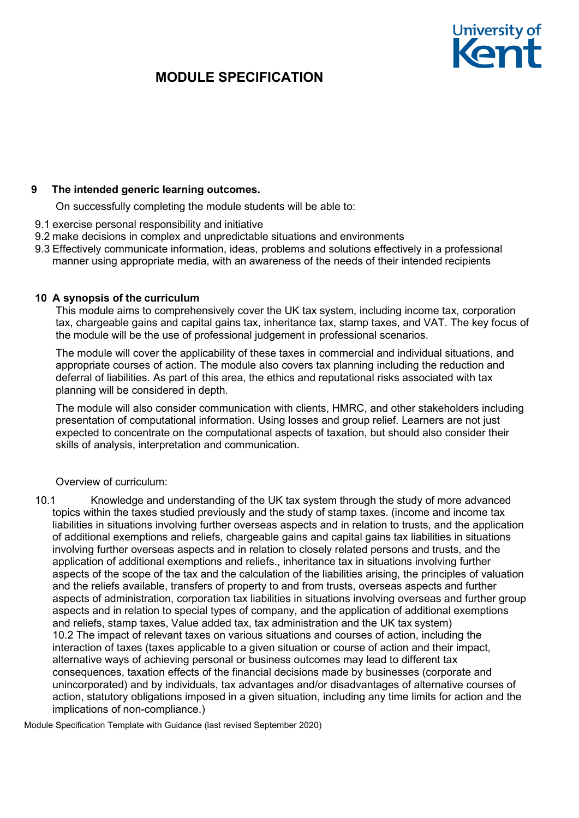

#### **9 The intended generic learning outcomes.**

On successfully completing the module students will be able to:

- 9.1 exercise personal responsibility and initiative
- 9.2 make decisions in complex and unpredictable situations and environments
- 9.3 Effectively communicate information, ideas, problems and solutions effectively in a professional manner using appropriate media, with an awareness of the needs of their intended recipients

### **10 A synopsis of the curriculum**

This module aims to comprehensively cover the UK tax system, including income tax, corporation tax, chargeable gains and capital gains tax, inheritance tax, stamp taxes, and VAT. The key focus of the module will be the use of professional judgement in professional scenarios.

The module will cover the applicability of these taxes in commercial and individual situations, and appropriate courses of action. The module also covers tax planning including the reduction and deferral of liabilities. As part of this area, the ethics and reputational risks associated with tax planning will be considered in depth.

The module will also consider communication with clients, HMRC, and other stakeholders including presentation of computational information. Using losses and group relief. Learners are not just expected to concentrate on the computational aspects of taxation, but should also consider their skills of analysis, interpretation and communication.

Overview of curriculum:

10.1 Knowledge and understanding of the UK tax system through the study of more advanced topics within the taxes studied previously and the study of stamp taxes. (income and income tax liabilities in situations involving further overseas aspects and in relation to trusts, and the application of additional exemptions and reliefs, chargeable gains and capital gains tax liabilities in situations involving further overseas aspects and in relation to closely related persons and trusts, and the application of additional exemptions and reliefs., inheritance tax in situations involving further aspects of the scope of the tax and the calculation of the liabilities arising, the principles of valuation and the reliefs available, transfers of property to and from trusts, overseas aspects and further aspects of administration, corporation tax liabilities in situations involving overseas and further group aspects and in relation to special types of company, and the application of additional exemptions and reliefs, stamp taxes, Value added tax, tax administration and the UK tax system) 10.2 The impact of relevant taxes on various situations and courses of action, including the interaction of taxes (taxes applicable to a given situation or course of action and their impact, alternative ways of achieving personal or business outcomes may lead to different tax consequences, taxation effects of the financial decisions made by businesses (corporate and unincorporated) and by individuals, tax advantages and/or disadvantages of alternative courses of action, statutory obligations imposed in a given situation, including any time limits for action and the implications of non-compliance.)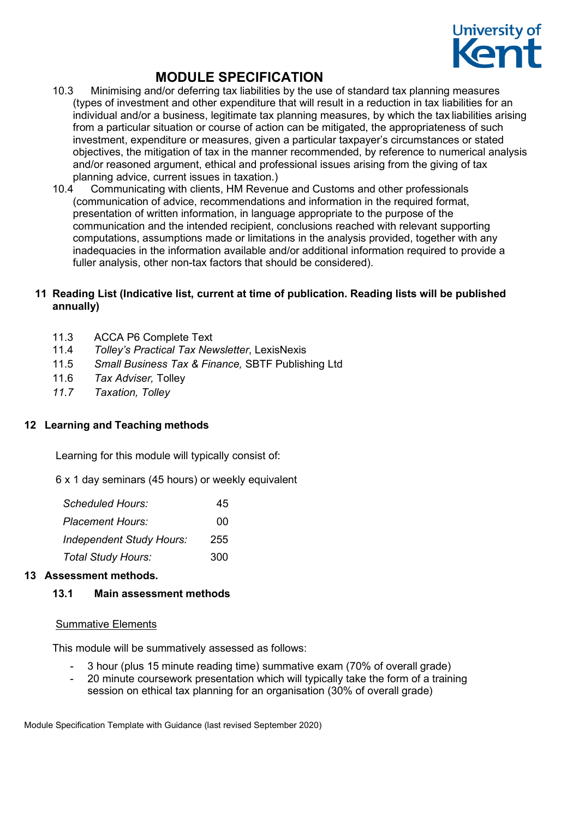

- 10.3 Minimising and/or deferring tax liabilities by the use of standard tax planning measures (types of investment and other expenditure that will result in a reduction in tax liabilities for an individual and/or a business, legitimate tax planning measures, by which the tax liabilities arising from a particular situation or course of action can be mitigated, the appropriateness of such investment, expenditure or measures, given a particular taxpayer's circumstances or stated objectives, the mitigation of tax in the manner recommended, by reference to numerical analysis and/or reasoned argument, ethical and professional issues arising from the giving of tax planning advice, current issues in taxation.)<br>10.4 Communicating with clients. HM Revenu
- Communicating with clients, HM Revenue and Customs and other professionals (communication of advice, recommendations and information in the required format, presentation of written information, in language appropriate to the purpose of the communication and the intended recipient, conclusions reached with relevant supporting computations, assumptions made or limitations in the analysis provided, together with any inadequacies in the information available and/or additional information required to provide a fuller analysis, other non-tax factors that should be considered).

### **11 Reading List (Indicative list, current at time of publication. Reading lists will be published annually)**

- 11.3 ACCA P6 Complete Text<br>11.4 Tolley's Practical Tax Nev
- 11.4 *Tolley's Practical Tax Newsletter*, LexisNexis
- 11.5 *Small Business Tax & Finance,* SBTF Publishing Ltd
- 11.6 *Tax Adviser,* Tolley
- *11.7 Taxation, Tolley*

### **12 Learning and Teaching methods**

Learning for this module will typically consist of:

6 x 1 day seminars (45 hours) or weekly equivalent

| Scheduled Hours:                | 45  |
|---------------------------------|-----|
| <b>Placement Hours:</b>         | ΩO  |
| <b>Independent Study Hours:</b> | 255 |
| Total Study Hours:              | 300 |

#### **13 Assessment methods.**

**13.1 Main assessment methods**

#### Summative Elements

This module will be summatively assessed as follows:

- 3 hour (plus 15 minute reading time) summative exam (70% of overall grade)
- 20 minute coursework presentation which will typically take the form of a training session on ethical tax planning for an organisation (30% of overall grade)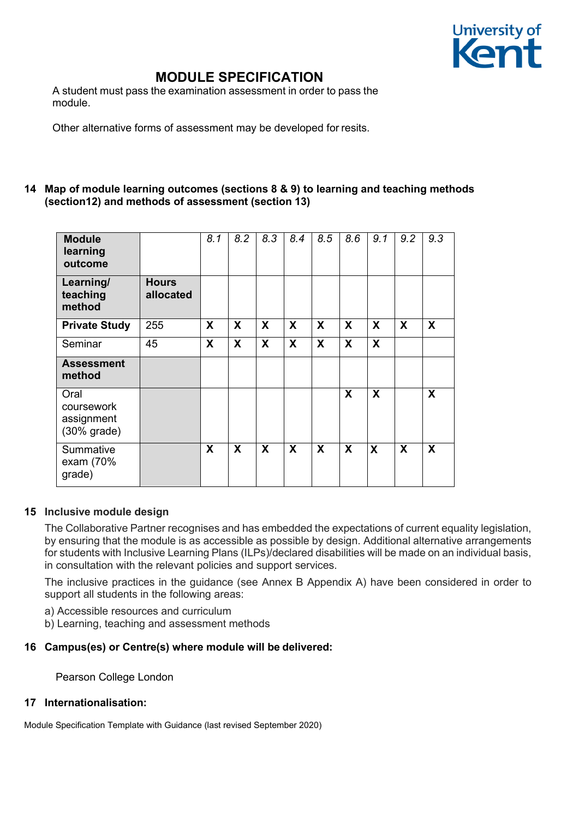

A student must pass the examination assessment in order to pass the module.

Other alternative forms of assessment may be developed for resits.

### **14 Map of module learning outcomes (sections 8 & 9) to learning and teaching methods (section12) and methods of assessment (section 13)**

| <b>Module</b><br>learning<br>outcome              |                           | 8.1 | 8.2 | 8.3 | 8.4 | 8.5 | 8.6 | 9.1 | 9.2 | 9.3              |
|---------------------------------------------------|---------------------------|-----|-----|-----|-----|-----|-----|-----|-----|------------------|
| Learning/<br>teaching<br>method                   | <b>Hours</b><br>allocated |     |     |     |     |     |     |     |     |                  |
| <b>Private Study</b>                              | 255                       | X   | X   | X   | X   | X   | X   | X   | X   | $\boldsymbol{X}$ |
| Seminar                                           | 45                        | X   | X   | X   | X   | X   | X   | X   |     |                  |
| <b>Assessment</b><br>method                       |                           |     |     |     |     |     |     |     |     |                  |
| Oral<br>coursework<br>assignment<br>$(30%$ grade) |                           |     |     |     |     |     | X   | X   |     | X                |
| Summative<br>exam (70%<br>grade)                  |                           | X   | X   | X   | X   | X   | X   | X   | X   | $\boldsymbol{X}$ |

### **15 Inclusive module design**

The Collaborative Partner recognises and has embedded the expectations of current equality legislation, by ensuring that the module is as accessible as possible by design. Additional alternative arrangements for students with Inclusive Learning Plans (ILPs)/declared disabilities will be made on an individual basis, in consultation with the relevant policies and support services.

The inclusive practices in the guidance (see Annex B Appendix A) have been considered in order to support all students in the following areas:

- a) Accessible resources and curriculum
- b) Learning, teaching and assessment methods

### **16 Campus(es) or Centre(s) where module will be delivered:**

Pearson College London

#### **17 Internationalisation:**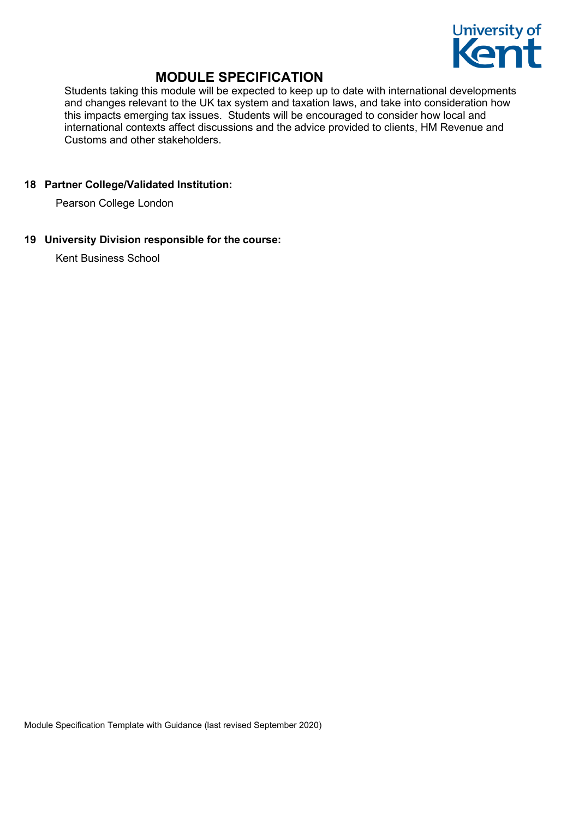

Students taking this module will be expected to keep up to date with international developments and changes relevant to the UK tax system and taxation laws, and take into consideration how this impacts emerging tax issues. Students will be encouraged to consider how local and international contexts affect discussions and the advice provided to clients, HM Revenue and Customs and other stakeholders.

### **18 Partner College/Validated Institution:**

Pearson College London

**19 University Division responsible for the course:**

Kent Business School